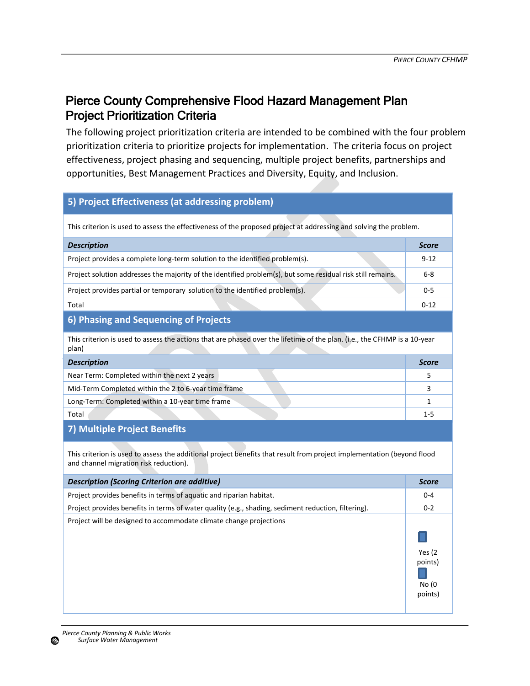# Pierce County Comprehensive Flood Hazard Management Plan Project Prioritization Criteria

The following project prioritization criteria are intended to be combined with the four problem prioritization criteria to prioritize projects for implementation. The criteria focus on project effectiveness, project phasing and sequencing, multiple project benefits, partnerships and opportunities, Best Management Practices and Diversity, Equity, and Inclusion.

## **5) Project Effectiveness (at addressing problem)**

This criterion is used to assess the effectiveness of the proposed project at addressing and solving the problem.

| <b>Description</b>                                                                                          | <b>Score</b> |
|-------------------------------------------------------------------------------------------------------------|--------------|
| Project provides a complete long-term solution to the identified problem(s).                                | $9 - 12$     |
| Project solution addresses the majority of the identified problem(s), but some residual risk still remains. | $6 - 8$      |
| Project provides partial or temporary solution to the identified problem(s).                                | $0 - 5$      |
| Total                                                                                                       | $0 - 12$     |

## **6) Phasing and Sequencing of Projects**

This criterion is used to assess the actions that are phased over the lifetime of the plan. (i.e., the CFHMP is a 10-year plan)

| <b>Description</b>                                   | <b>Score</b> |
|------------------------------------------------------|--------------|
| Near Term: Completed within the next 2 years         |              |
| Mid-Term Completed within the 2 to 6-year time frame |              |
| Long-Term: Completed within a 10-year time frame     |              |
| Total                                                | $1 - 5$      |

## **7) Multiple Project Benefits**

This criterion is used to assess the additional project benefits that result from project implementation (beyond flood and channel migration risk reduction).

| <b>Description (Scoring Criterion are additive)</b>                                                 | <b>Score</b>                             |
|-----------------------------------------------------------------------------------------------------|------------------------------------------|
| Project provides benefits in terms of aquatic and riparian habitat.                                 | $0 - 4$                                  |
| Project provides benefits in terms of water quality (e.g., shading, sediment reduction, filtering). | $0 - 2$                                  |
| Project will be designed to accommodate climate change projections                                  | Yes $(2)$<br>points)<br>No (0<br>points) |

Ø)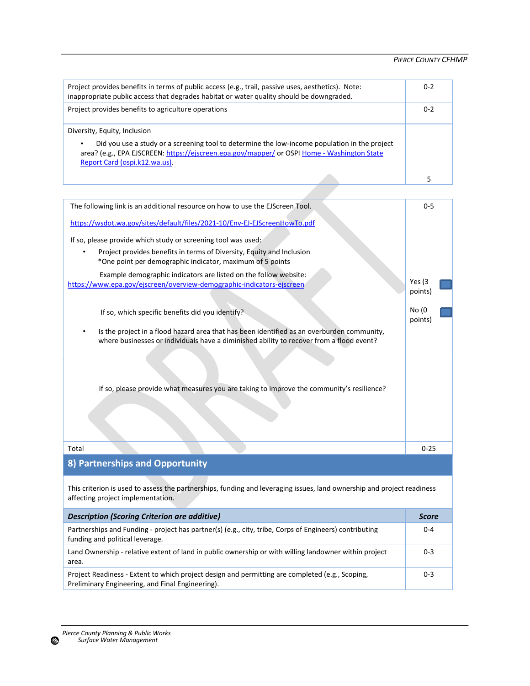#### *PIERCE COUNTY CFHMP*

| Project provides benefits in terms of public access (e.g., trail, passive uses, aesthetics). Note:<br>inappropriate public access that degrades habitat or water quality should be downgraded.                                                                | $0 - 2$ |
|---------------------------------------------------------------------------------------------------------------------------------------------------------------------------------------------------------------------------------------------------------------|---------|
| Project provides benefits to agriculture operations                                                                                                                                                                                                           | $0 - 2$ |
| Diversity, Equity, Inclusion<br>Did you use a study or a screening tool to determine the low-income population in the project<br>area? (e.g., EPA EJSCREEN: https://ejscreen.epa.gov/mapper/ or OSPI Home - Washington State<br>Report Card (ospi.k12.wa.us). |         |
|                                                                                                                                                                                                                                                               |         |

| The following link is an additional resource on how to use the EJScreen Tool.                                                                                                                       | $0 - 5$           |  |
|-----------------------------------------------------------------------------------------------------------------------------------------------------------------------------------------------------|-------------------|--|
| https://wsdot.wa.gov/sites/default/files/2021-10/Env-EJ-EJScreenHowTo.pdf                                                                                                                           |                   |  |
| If so, please provide which study or screening tool was used:                                                                                                                                       |                   |  |
| Project provides benefits in terms of Diversity, Equity and Inclusion<br>*One point per demographic indicator, maximum of 5 points                                                                  |                   |  |
| Example demographic indicators are listed on the follow website:<br>https://www.epa.gov/ejscreen/overview-demographic-indicators-ejscreen                                                           | Yes (3<br>points) |  |
| If so, which specific benefits did you identify?                                                                                                                                                    | No (0<br>points)  |  |
| Is the project in a flood hazard area that has been identified as an overburden community,<br>$\bullet$<br>where businesses or individuals have a diminished ability to recover from a flood event? |                   |  |
| If so, please provide what measures you are taking to improve the community's resilience?                                                                                                           |                   |  |
| Total                                                                                                                                                                                               | $0 - 25$          |  |
| 8) Partnerships and Opportunity                                                                                                                                                                     |                   |  |
| This criterion is used to assess the partnerships, funding and leveraging issues, land ownership and project readiness<br>affecting project implementation.                                         |                   |  |
| <b>Description (Scoring Criterion are additive)</b>                                                                                                                                                 | <b>Score</b>      |  |
| Partnerships and Funding - project has partner(s) (e.g., city, tribe, Corps of Engineers) contributing<br>funding and political leverage.                                                           | $0 - 4$           |  |
| Land Ownership - relative extent of land in public ownership or with willing landowner within project<br>area.                                                                                      | $0 - 3$           |  |
| Project Readiness - Extent to which project design and permitting are completed (e.g., Scoping,<br>Preliminary Engineering, and Final Engineering).                                                 | $0 - 3$           |  |